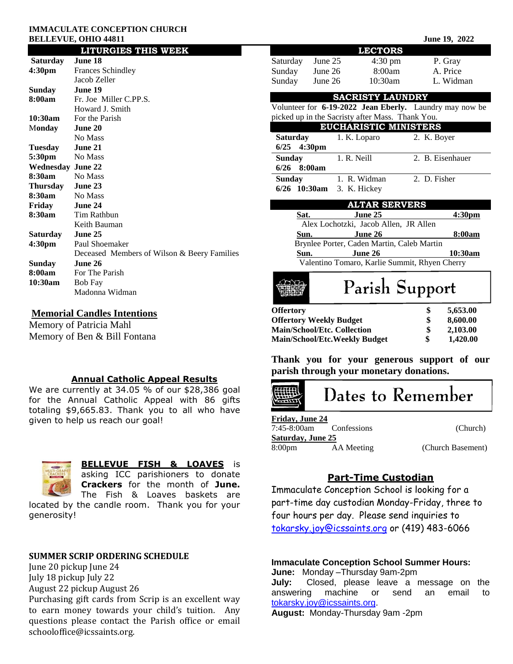#### **IMMACULATE CONCEPTION CHURCH BELLEVUE, OHIO 44811** June 19, 2022

|                          | <b>LITURGIES THIS WEEK</b>                  |  |  |
|--------------------------|---------------------------------------------|--|--|
| Saturday                 | June 18                                     |  |  |
| 4:30 <sub>pm</sub>       | <b>Frances Schindley</b>                    |  |  |
|                          | Jacob Zeller                                |  |  |
| Sunday                   | June 19                                     |  |  |
| 8:00am                   | Fr. Joe Miller C.PP.S.                      |  |  |
|                          | Howard J. Smith                             |  |  |
| 10:30am                  | For the Parish                              |  |  |
| Monday                   | June 20                                     |  |  |
|                          | No Mass                                     |  |  |
| Tuesday                  | June 21                                     |  |  |
| 5:30pm                   | No Mass                                     |  |  |
| <b>Wednesday June 22</b> |                                             |  |  |
| 8:30am                   | No Mass                                     |  |  |
| Thursday June 23         |                                             |  |  |
| 8:30am                   | No Mass                                     |  |  |
| Friday                   | June 24                                     |  |  |
| 8:30am                   | Tim Rathbun                                 |  |  |
|                          | Keith Bauman                                |  |  |
| Saturday                 | June 25                                     |  |  |
| 4:30 <sub>pm</sub>       | Paul Shoemaker                              |  |  |
|                          | Deceased Members of Wilson & Beery Families |  |  |
| Sunday                   | June 26                                     |  |  |
| 8:00am                   | For The Parish                              |  |  |
| 10:30am                  | <b>Bob Fay</b>                              |  |  |
|                          | Madonna Widman                              |  |  |

# **Memorial Candles Intentions**

Memory of Patricia Mahl Memory of Ben & Bill Fontana

## **Annual Catholic Appeal Results**

We are currently at 34.05 % of our \$28,386 goal for the Annual Catholic Appeal with 86 gifts totaling \$9,665.83. Thank you to all who have given to help us reach our goal!



# **BELLEVUE FISH & LOAVES** is

asking ICC parishioners to donate **Crackers** for the month of **June.** The Fish & Loaves baskets are

located by the candle room. Thank you for your generosity!

# **SUMMER SCRIP ORDERING SCHEDULE**

June 20 pickup June 24 July 18 pickup July 22 August 22 pickup August 26

Purchasing gift cards from Scrip is an excellent way to earn money towards your child's tuition. Any questions please contact the Parish office or email schooloffice@icssaints.org.

|                                                                                                                    |                           | <b>LECTORS</b>    |                  |           |  |  |
|--------------------------------------------------------------------------------------------------------------------|---------------------------|-------------------|------------------|-----------|--|--|
| Saturday                                                                                                           | June $25$                 | $4:30 \text{ pm}$ | P. Gray          |           |  |  |
| Sunday June 26                                                                                                     |                           | 8:00am            | A. Price         |           |  |  |
| Sunday                                                                                                             | June $26$                 | 10:30am           |                  | L. Widman |  |  |
| <b>SACRISTY LAUNDRY</b>                                                                                            |                           |                   |                  |           |  |  |
|                                                                                                                    |                           |                   |                  |           |  |  |
| Volunteer for <b>6-19-2022 Jean Eberly.</b> Laundry may now be<br>picked up in the Sacristy after Mass. Thank You. |                           |                   |                  |           |  |  |
| <b>EUCHARISTIC MINISTERS</b>                                                                                       |                           |                   |                  |           |  |  |
| Saturday                                                                                                           |                           | 1. K. Loparo      | 2. K. Boyer      |           |  |  |
| $6/25$ 4:30pm                                                                                                      |                           |                   |                  |           |  |  |
| <b>Sunday</b>                                                                                                      |                           | 1. R. Neill       | 2. B. Eisenhauer |           |  |  |
| $6/26$ 8:00am                                                                                                      |                           |                   |                  |           |  |  |
| <b>Sunday</b>                                                                                                      |                           | 1. R. Widman      | 2. D. Fisher     |           |  |  |
|                                                                                                                    | 6/26 10:30am 3. K. Hickey |                   |                  |           |  |  |
| <b>ALTAR SERVERS</b>                                                                                               |                           |                   |                  |           |  |  |
| Sat.                                                                                                               |                           | June 25           |                  | 4:30pm    |  |  |
| Alex Lochotzki, Jacob Allen, JR Allen                                                                              |                           |                   |                  |           |  |  |
| June 26<br>Sun.                                                                                                    |                           |                   |                  | 8:00am    |  |  |
| Brynlee Porter, Caden Martin, Caleb Martin                                                                         |                           |                   |                  |           |  |  |
| Sun.                                                                                                               |                           | June 26           |                  | 10:30am   |  |  |

**Thank you for your generous support of our parish through your monetary donations.**

**Offertory \$ 5,653.00 Offertory Weekly Budget \$ 8,600.00 Main/School/Etc. Collection \$ 2,103.00 Main/School/Etc.Weekly Budget \$ 1,420.00**

Valentino Tomaro, Karlie Summit, Rhyen Cherry

Parish Support

# Dates to Remember

| <b>Friday, June 24</b> |             |                   |
|------------------------|-------------|-------------------|
| 7:45-8:00am            | Confessions | (Church)          |
| Saturday, June 25      |             |                   |
| 8:00 <sub>pm</sub>     | AA Meeting  | (Church Basement) |

# **Part-Time Custodian**

Immaculate Conception School is looking for a part-time day custodian Monday-Friday, three to four hours per day. Please send inquiries to [tokarsky.joy@icssaints.org](mailto:tokarsky.joy@icssaints.org) or (419) 483-6066

# **Immaculate Conception School Summer Hours:**

**June:** Monday –Thursday 9am-2pm **July:** Closed, please leave a message on the answering machine or send an email to [tokarsky.joy@icssaints.org.](mailto:tokarsky.joy@icssaints.org)

**August:** Monday-Thursday 9am -2pm